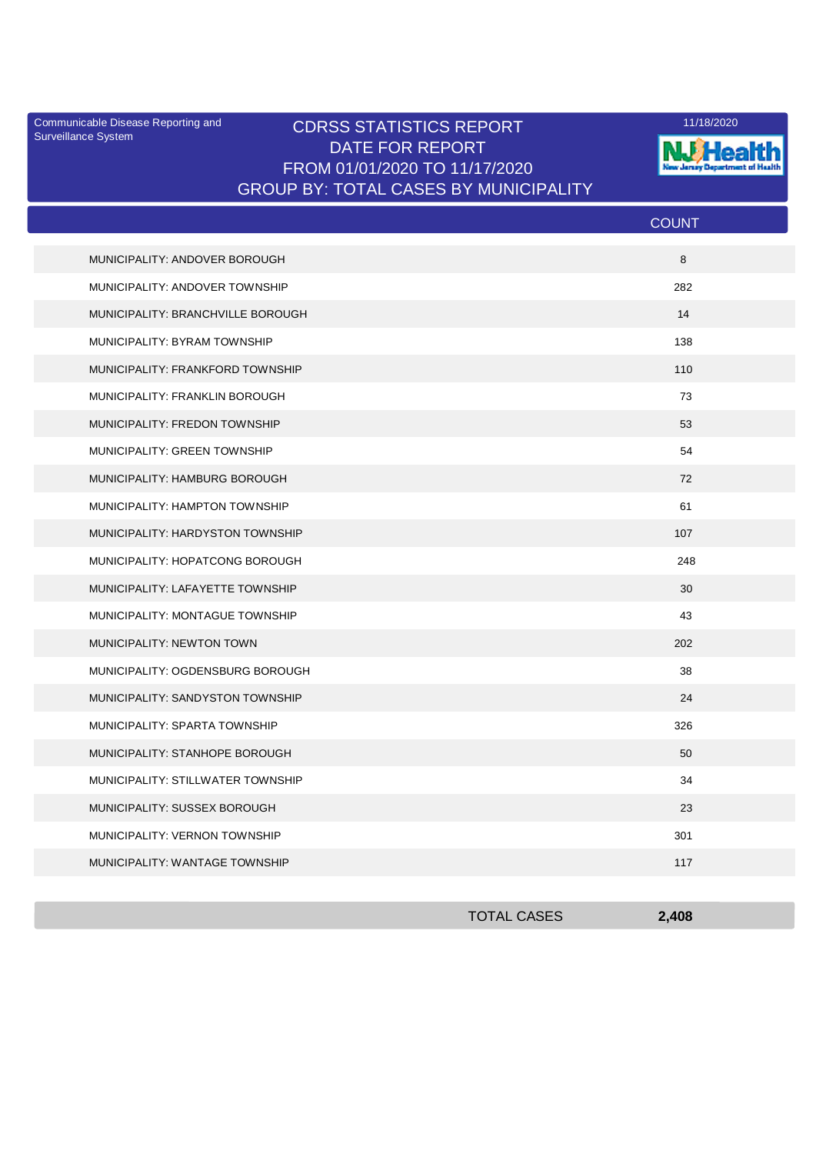Surveillance System

## Communicable Disease Reporting and **CDRSS STATISTICS REPORT** 11/18/2020<br>Surveillance Statem DATE FOR REPORT FROM 01/01/2020 TO 11/17/2020 GROUP BY: TOTAL CASES BY MUNICIPALITY



|                                   | <b>COUNT</b> |
|-----------------------------------|--------------|
| MUNICIPALITY: ANDOVER BOROUGH     | 8            |
| MUNICIPALITY: ANDOVER TOWNSHIP    | 282          |
| MUNICIPALITY: BRANCHVILLE BOROUGH | 14           |
| MUNICIPALITY: BYRAM TOWNSHIP      | 138          |
| MUNICIPALITY: FRANKFORD TOWNSHIP  | 110          |
| MUNICIPALITY: FRANKLIN BOROUGH    | 73           |
| MUNICIPALITY: FREDON TOWNSHIP     | 53           |
| MUNICIPALITY: GREEN TOWNSHIP      | 54           |
| MUNICIPALITY: HAMBURG BOROUGH     | 72           |
| MUNICIPALITY: HAMPTON TOWNSHIP    | 61           |
| MUNICIPALITY: HARDYSTON TOWNSHIP  | 107          |
| MUNICIPALITY: HOPATCONG BOROUGH   | 248          |
| MUNICIPALITY: LAFAYETTE TOWNSHIP  | 30           |
| MUNICIPALITY: MONTAGUE TOWNSHIP   | 43           |
| <b>MUNICIPALITY: NEWTON TOWN</b>  | 202          |
| MUNICIPALITY: OGDENSBURG BOROUGH  | 38           |
| MUNICIPALITY: SANDYSTON TOWNSHIP  | 24           |
| MUNICIPALITY: SPARTA TOWNSHIP     | 326          |
| MUNICIPALITY: STANHOPE BOROUGH    | 50           |
| MUNICIPALITY: STILLWATER TOWNSHIP | 34           |
| MUNICIPALITY: SUSSEX BOROUGH      | 23           |
| MUNICIPALITY: VERNON TOWNSHIP     | 301          |
| MUNICIPALITY: WANTAGE TOWNSHIP    | 117          |

| <b>TOTAL CASES</b> | 2,408 |
|--------------------|-------|
|                    |       |